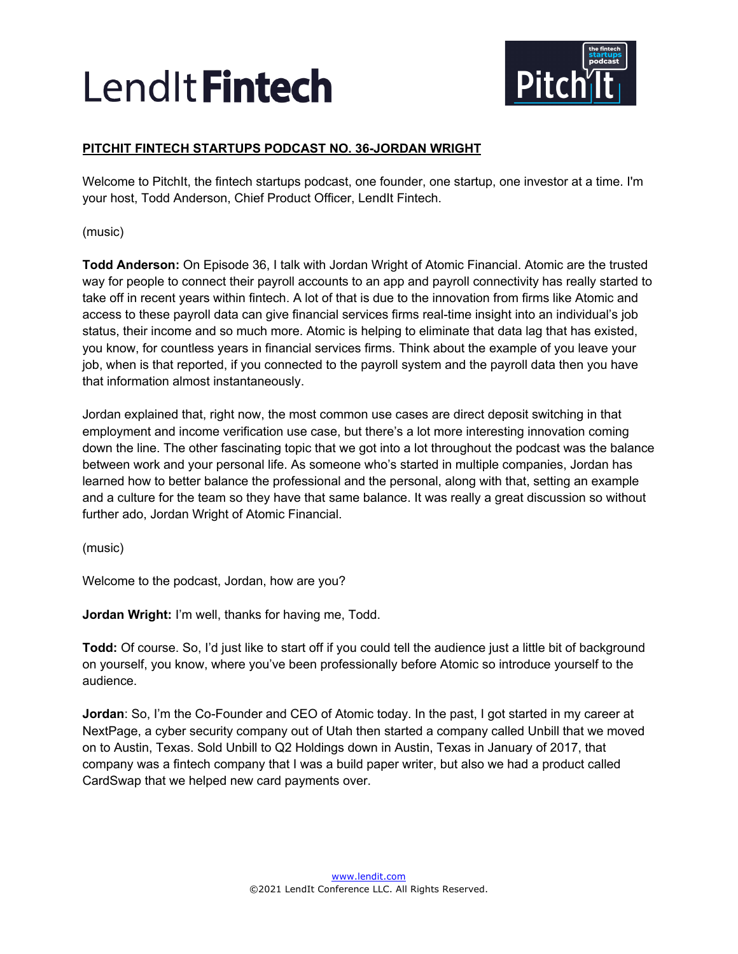

# **PITCHIT FINTECH STARTUPS PODCAST NO. 36-JORDAN WRIGHT**

Welcome to PitchIt, the fintech startups podcast, one founder, one startup, one investor at a time. I'm your host, Todd Anderson, Chief Product Officer, LendIt Fintech.

(music)

**Todd Anderson:** On Episode 36, I talk with Jordan Wright of Atomic Financial. Atomic are the trusted way for people to connect their payroll accounts to an app and payroll connectivity has really started to take off in recent years within fintech. A lot of that is due to the innovation from firms like Atomic and access to these payroll data can give financial services firms real-time insight into an individual's job status, their income and so much more. Atomic is helping to eliminate that data lag that has existed, you know, for countless years in financial services firms. Think about the example of you leave your job, when is that reported, if you connected to the payroll system and the payroll data then you have that information almost instantaneously.

Jordan explained that, right now, the most common use cases are direct deposit switching in that employment and income verification use case, but there's a lot more interesting innovation coming down the line. The other fascinating topic that we got into a lot throughout the podcast was the balance between work and your personal life. As someone who's started in multiple companies, Jordan has learned how to better balance the professional and the personal, along with that, setting an example and a culture for the team so they have that same balance. It was really a great discussion so without further ado, Jordan Wright of Atomic Financial.

(music)

Welcome to the podcast, Jordan, how are you?

**Jordan Wright:** I'm well, thanks for having me, Todd.

**Todd:** Of course. So, I'd just like to start off if you could tell the audience just a little bit of background on yourself, you know, where you've been professionally before Atomic so introduce yourself to the audience.

**Jordan**: So, I'm the Co-Founder and CEO of Atomic today. In the past, I got started in my career at NextPage, a cyber security company out of Utah then started a company called Unbill that we moved on to Austin, Texas. Sold Unbill to Q2 Holdings down in Austin, Texas in January of 2017, that company was a fintech company that I was a build paper writer, but also we had a product called CardSwap that we helped new card payments over.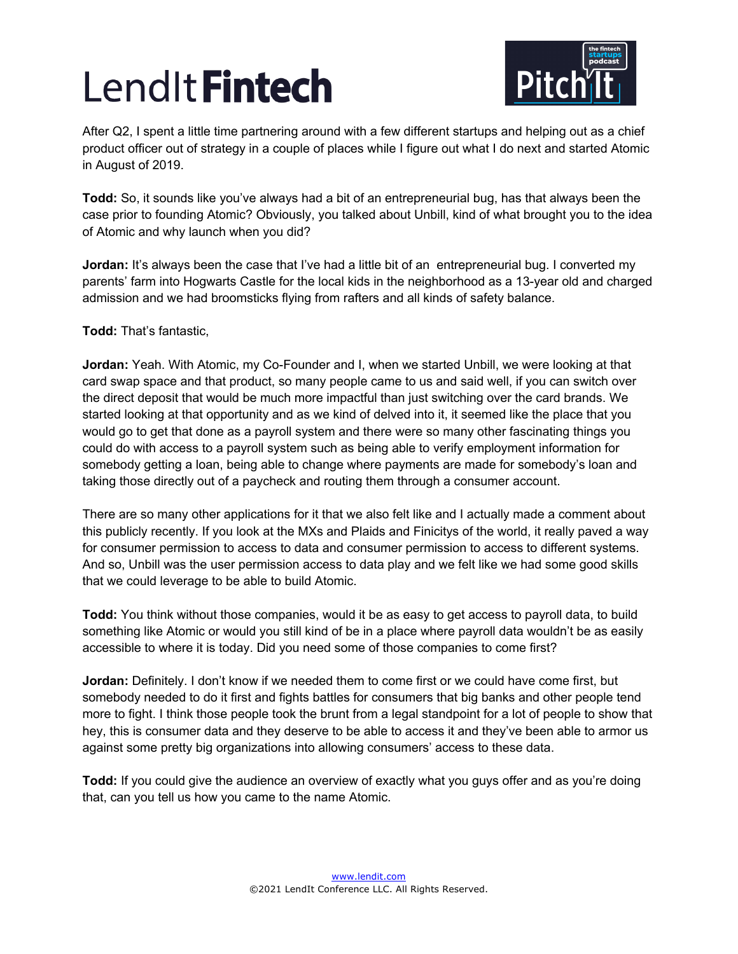

After Q2, I spent a little time partnering around with a few different startups and helping out as a chief product officer out of strategy in a couple of places while I figure out what I do next and started Atomic in August of 2019.

**Todd:** So, it sounds like you've always had a bit of an entrepreneurial bug, has that always been the case prior to founding Atomic? Obviously, you talked about Unbill, kind of what brought you to the idea of Atomic and why launch when you did?

**Jordan:** It's always been the case that I've had a little bit of an entrepreneurial bug. I converted my parents' farm into Hogwarts Castle for the local kids in the neighborhood as a 13-year old and charged admission and we had broomsticks flying from rafters and all kinds of safety balance.

**Todd:** That's fantastic,

**Jordan:** Yeah. With Atomic, my Co-Founder and I, when we started Unbill, we were looking at that card swap space and that product, so many people came to us and said well, if you can switch over the direct deposit that would be much more impactful than just switching over the card brands. We started looking at that opportunity and as we kind of delved into it, it seemed like the place that you would go to get that done as a payroll system and there were so many other fascinating things you could do with access to a payroll system such as being able to verify employment information for somebody getting a loan, being able to change where payments are made for somebody's loan and taking those directly out of a paycheck and routing them through a consumer account.

There are so many other applications for it that we also felt like and I actually made a comment about this publicly recently. If you look at the MXs and Plaids and Finicitys of the world, it really paved a way for consumer permission to access to data and consumer permission to access to different systems. And so, Unbill was the user permission access to data play and we felt like we had some good skills that we could leverage to be able to build Atomic.

**Todd:** You think without those companies, would it be as easy to get access to payroll data, to build something like Atomic or would you still kind of be in a place where payroll data wouldn't be as easily accessible to where it is today. Did you need some of those companies to come first?

**Jordan:** Definitely. I don't know if we needed them to come first or we could have come first, but somebody needed to do it first and fights battles for consumers that big banks and other people tend more to fight. I think those people took the brunt from a legal standpoint for a lot of people to show that hey, this is consumer data and they deserve to be able to access it and they've been able to armor us against some pretty big organizations into allowing consumers' access to these data.

**Todd:** If you could give the audience an overview of exactly what you guys offer and as you're doing that, can you tell us how you came to the name Atomic.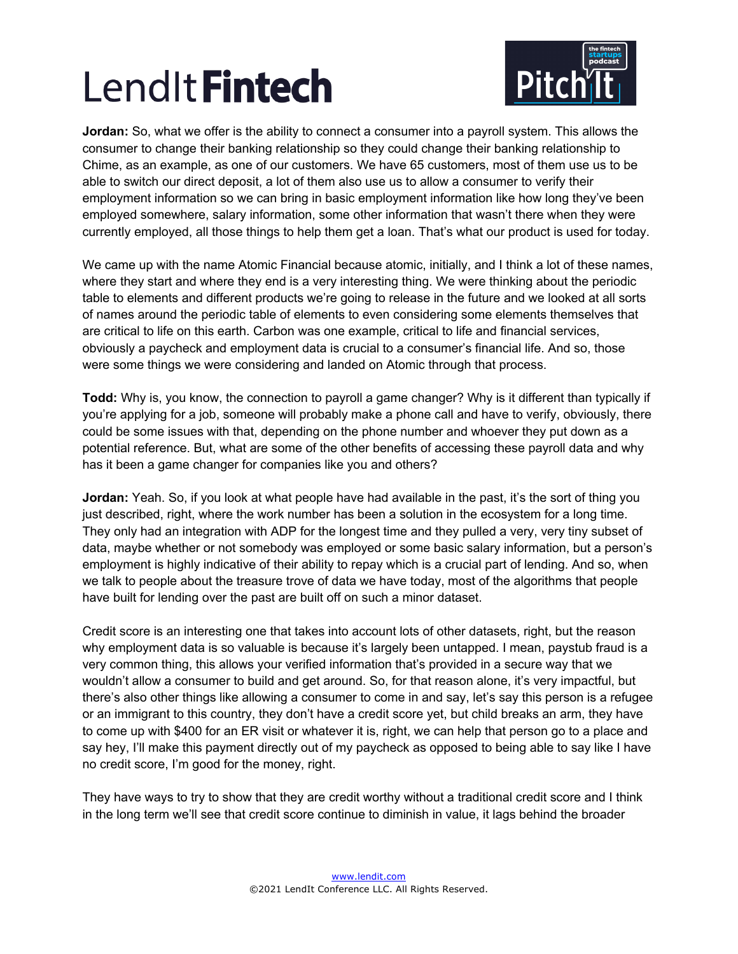

**Jordan:** So, what we offer is the ability to connect a consumer into a payroll system. This allows the consumer to change their banking relationship so they could change their banking relationship to Chime, as an example, as one of our customers. We have 65 customers, most of them use us to be able to switch our direct deposit, a lot of them also use us to allow a consumer to verify their employment information so we can bring in basic employment information like how long they've been employed somewhere, salary information, some other information that wasn't there when they were currently employed, all those things to help them get a loan. That's what our product is used for today.

We came up with the name Atomic Financial because atomic, initially, and I think a lot of these names, where they start and where they end is a very interesting thing. We were thinking about the periodic table to elements and different products we're going to release in the future and we looked at all sorts of names around the periodic table of elements to even considering some elements themselves that are critical to life on this earth. Carbon was one example, critical to life and financial services, obviously a paycheck and employment data is crucial to a consumer's financial life. And so, those were some things we were considering and landed on Atomic through that process.

**Todd:** Why is, you know, the connection to payroll a game changer? Why is it different than typically if you're applying for a job, someone will probably make a phone call and have to verify, obviously, there could be some issues with that, depending on the phone number and whoever they put down as a potential reference. But, what are some of the other benefits of accessing these payroll data and why has it been a game changer for companies like you and others?

**Jordan:** Yeah. So, if you look at what people have had available in the past, it's the sort of thing you just described, right, where the work number has been a solution in the ecosystem for a long time. They only had an integration with ADP for the longest time and they pulled a very, very tiny subset of data, maybe whether or not somebody was employed or some basic salary information, but a person's employment is highly indicative of their ability to repay which is a crucial part of lending. And so, when we talk to people about the treasure trove of data we have today, most of the algorithms that people have built for lending over the past are built off on such a minor dataset.

Credit score is an interesting one that takes into account lots of other datasets, right, but the reason why employment data is so valuable is because it's largely been untapped. I mean, paystub fraud is a very common thing, this allows your verified information that's provided in a secure way that we wouldn't allow a consumer to build and get around. So, for that reason alone, it's very impactful, but there's also other things like allowing a consumer to come in and say, let's say this person is a refugee or an immigrant to this country, they don't have a credit score yet, but child breaks an arm, they have to come up with \$400 for an ER visit or whatever it is, right, we can help that person go to a place and say hey, I'll make this payment directly out of my paycheck as opposed to being able to say like I have no credit score, I'm good for the money, right.

They have ways to try to show that they are credit worthy without a traditional credit score and I think in the long term we'll see that credit score continue to diminish in value, it lags behind the broader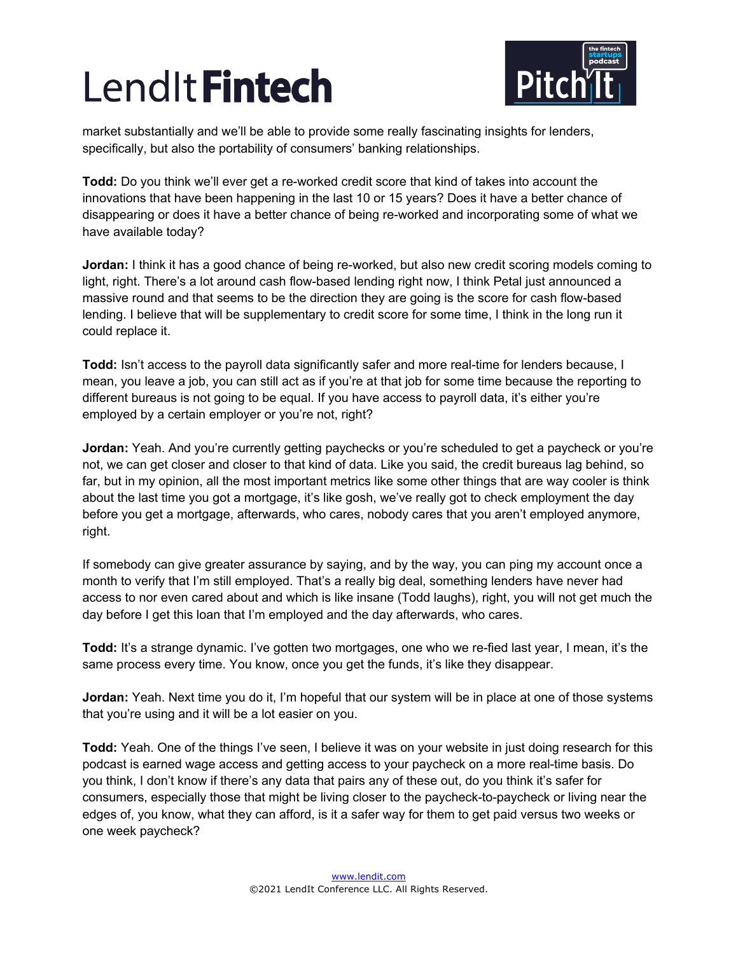

market substantially and we'll be able to provide some really fascinating insights for lenders, specifically, but also the portability of consumers' banking relationships.

**Todd:** Do you think we'll ever get a re-worked credit score that kind of takes into account the innovations that have been happening in the last 10 or 15 years? Does it have a better chance of disappearing or does it have a better chance of being re-worked and incorporating some of what we have available today?

**Jordan:** I think it has a good chance of being re-worked, but also new credit scoring models coming to light, right. There's a lot around cash flow-based lending right now, I think Petal just announced a massive round and that seems to be the direction they are going is the score for cash flow-based lending. I believe that will be supplementary to credit score for some time, I think in the long run it could replace it.

**Todd:** Isn't access to the payroll data significantly safer and more real-time for lenders because, I mean, you leave a job, you can still act as if you're at that job for some time because the reporting to different bureaus is not going to be equal. If you have access to payroll data, it's either you're employed by a certain employer or you're not, right?

**Jordan:** Yeah. And you're currently getting paychecks or you're scheduled to get a paycheck or you're not, we can get closer and closer to that kind of data. Like you said, the credit bureaus lag behind, so far, but in my opinion, all the most important metrics like some other things that are way cooler is think about the last time you got a mortgage, it's like gosh, we've really got to check employment the day before you get a mortgage, afterwards, who cares, nobody cares that you aren't employed anymore, right.

If somebody can give greater assurance by saying, and by the way, you can ping my account once a month to verify that I'm still employed. That's a really big deal, something lenders have never had access to nor even cared about and which is like insane (Todd laughs), right, you will not get much the day before I get this loan that I'm employed and the day afterwards, who cares.

**Todd:** It's a strange dynamic. I've gotten two mortgages, one who we re-fied last year, I mean, it's the same process every time. You know, once you get the funds, it's like they disappear.

**Jordan:** Yeah. Next time you do it, I'm hopeful that our system will be in place at one of those systems that you're using and it will be a lot easier on you.

**Todd:** Yeah. One of the things I've seen, I believe it was on your website in just doing research for this podcast is earned wage access and getting access to your paycheck on a more real-time basis. Do you think, I don't know if there's any data that pairs any of these out, do you think it's safer for consumers, especially those that might be living closer to the paycheck-to-paycheck or living near the edges of, you know, what they can afford, is it a safer way for them to get paid versus two weeks or one week paycheck?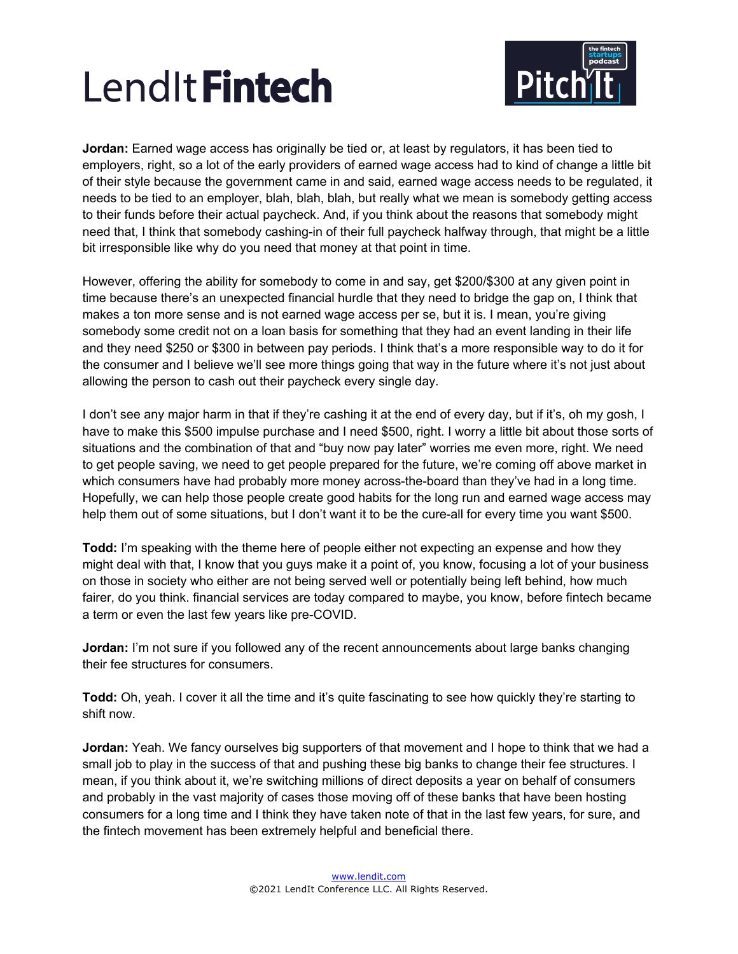

**Jordan:** Earned wage access has originally be tied or, at least by regulators, it has been tied to employers, right, so a lot of the early providers of earned wage access had to kind of change a little bit of their style because the government came in and said, earned wage access needs to be regulated, it needs to be tied to an employer, blah, blah, blah, but really what we mean is somebody getting access to their funds before their actual paycheck. And, if you think about the reasons that somebody might need that, I think that somebody cashing-in of their full paycheck halfway through, that might be a little bit irresponsible like why do you need that money at that point in time.

However, offering the ability for somebody to come in and say, get \$200/\$300 at any given point in time because there's an unexpected financial hurdle that they need to bridge the gap on, I think that makes a ton more sense and is not earned wage access per se, but it is. I mean, you're giving somebody some credit not on a loan basis for something that they had an event landing in their life and they need \$250 or \$300 in between pay periods. I think that's a more responsible way to do it for the consumer and I believe we'll see more things going that way in the future where it's not just about allowing the person to cash out their paycheck every single day.

I don't see any major harm in that if they're cashing it at the end of every day, but if it's, oh my gosh, I have to make this \$500 impulse purchase and I need \$500, right. I worry a little bit about those sorts of situations and the combination of that and "buy now pay later" worries me even more, right. We need to get people saving, we need to get people prepared for the future, we're coming off above market in which consumers have had probably more money across-the-board than they've had in a long time. Hopefully, we can help those people create good habits for the long run and earned wage access may help them out of some situations, but I don't want it to be the cure-all for every time you want \$500.

**Todd:** I'm speaking with the theme here of people either not expecting an expense and how they might deal with that, I know that you guys make it a point of, you know, focusing a lot of your business on those in society who either are not being served well or potentially being left behind, how much fairer, do you think. financial services are today compared to maybe, you know, before fintech became a term or even the last few years like pre-COVID.

**Jordan:** I'm not sure if you followed any of the recent announcements about large banks changing their fee structures for consumers.

**Todd:** Oh, yeah. I cover it all the time and it's quite fascinating to see how quickly they're starting to shift now.

**Jordan:** Yeah. We fancy ourselves big supporters of that movement and I hope to think that we had a small job to play in the success of that and pushing these big banks to change their fee structures. I mean, if you think about it, we're switching millions of direct deposits a year on behalf of consumers and probably in the vast majority of cases those moving off of these banks that have been hosting consumers for a long time and I think they have taken note of that in the last few years, for sure, and the fintech movement has been extremely helpful and beneficial there.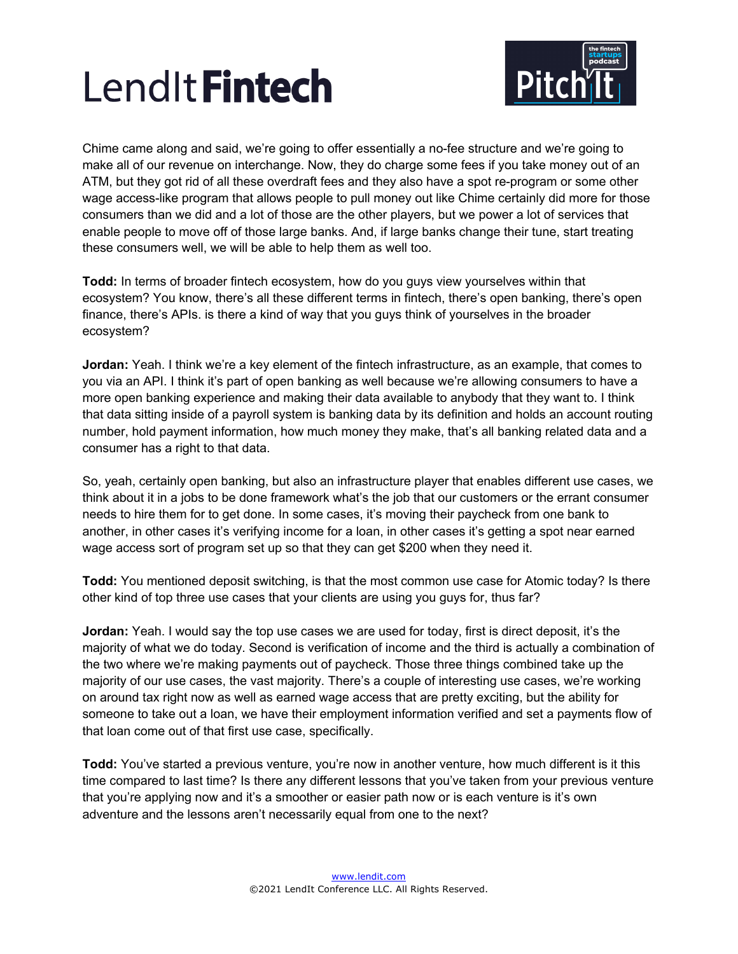

Chime came along and said, we're going to offer essentially a no-fee structure and we're going to make all of our revenue on interchange. Now, they do charge some fees if you take money out of an ATM, but they got rid of all these overdraft fees and they also have a spot re-program or some other wage access-like program that allows people to pull money out like Chime certainly did more for those consumers than we did and a lot of those are the other players, but we power a lot of services that enable people to move off of those large banks. And, if large banks change their tune, start treating these consumers well, we will be able to help them as well too.

**Todd:** In terms of broader fintech ecosystem, how do you guys view yourselves within that ecosystem? You know, there's all these different terms in fintech, there's open banking, there's open finance, there's APIs. is there a kind of way that you guys think of yourselves in the broader ecosystem?

**Jordan:** Yeah. I think we're a key element of the fintech infrastructure, as an example, that comes to you via an API. I think it's part of open banking as well because we're allowing consumers to have a more open banking experience and making their data available to anybody that they want to. I think that data sitting inside of a payroll system is banking data by its definition and holds an account routing number, hold payment information, how much money they make, that's all banking related data and a consumer has a right to that data.

So, yeah, certainly open banking, but also an infrastructure player that enables different use cases, we think about it in a jobs to be done framework what's the job that our customers or the errant consumer needs to hire them for to get done. In some cases, it's moving their paycheck from one bank to another, in other cases it's verifying income for a loan, in other cases it's getting a spot near earned wage access sort of program set up so that they can get \$200 when they need it.

**Todd:** You mentioned deposit switching, is that the most common use case for Atomic today? Is there other kind of top three use cases that your clients are using you guys for, thus far?

**Jordan:** Yeah. I would say the top use cases we are used for today, first is direct deposit, it's the majority of what we do today. Second is verification of income and the third is actually a combination of the two where we're making payments out of paycheck. Those three things combined take up the majority of our use cases, the vast majority. There's a couple of interesting use cases, we're working on around tax right now as well as earned wage access that are pretty exciting, but the ability for someone to take out a loan, we have their employment information verified and set a payments flow of that loan come out of that first use case, specifically.

**Todd:** You've started a previous venture, you're now in another venture, how much different is it this time compared to last time? Is there any different lessons that you've taken from your previous venture that you're applying now and it's a smoother or easier path now or is each venture is it's own adventure and the lessons aren't necessarily equal from one to the next?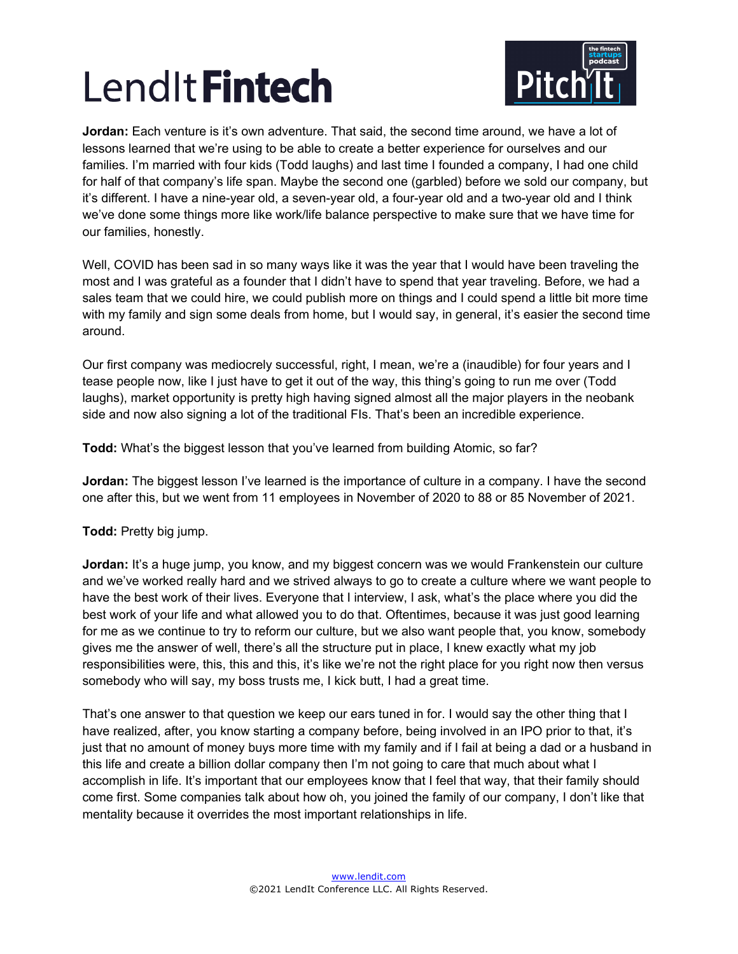

**Jordan:** Each venture is it's own adventure. That said, the second time around, we have a lot of lessons learned that we're using to be able to create a better experience for ourselves and our families. I'm married with four kids (Todd laughs) and last time I founded a company, I had one child for half of that company's life span. Maybe the second one (garbled) before we sold our company, but it's different. I have a nine-year old, a seven-year old, a four-year old and a two-year old and I think we've done some things more like work/life balance perspective to make sure that we have time for our families, honestly.

Well, COVID has been sad in so many ways like it was the year that I would have been traveling the most and I was grateful as a founder that I didn't have to spend that year traveling. Before, we had a sales team that we could hire, we could publish more on things and I could spend a little bit more time with my family and sign some deals from home, but I would say, in general, it's easier the second time around.

Our first company was mediocrely successful, right, I mean, we're a (inaudible) for four years and I tease people now, like I just have to get it out of the way, this thing's going to run me over (Todd laughs), market opportunity is pretty high having signed almost all the major players in the neobank side and now also signing a lot of the traditional FIs. That's been an incredible experience.

**Todd:** What's the biggest lesson that you've learned from building Atomic, so far?

**Jordan:** The biggest lesson I've learned is the importance of culture in a company. I have the second one after this, but we went from 11 employees in November of 2020 to 88 or 85 November of 2021.

**Todd:** Pretty big jump.

**Jordan:** It's a huge jump, you know, and my biggest concern was we would Frankenstein our culture and we've worked really hard and we strived always to go to create a culture where we want people to have the best work of their lives. Everyone that I interview, I ask, what's the place where you did the best work of your life and what allowed you to do that. Oftentimes, because it was just good learning for me as we continue to try to reform our culture, but we also want people that, you know, somebody gives me the answer of well, there's all the structure put in place, I knew exactly what my job responsibilities were, this, this and this, it's like we're not the right place for you right now then versus somebody who will say, my boss trusts me, I kick butt, I had a great time.

That's one answer to that question we keep our ears tuned in for. I would say the other thing that I have realized, after, you know starting a company before, being involved in an IPO prior to that, it's just that no amount of money buys more time with my family and if I fail at being a dad or a husband in this life and create a billion dollar company then I'm not going to care that much about what I accomplish in life. It's important that our employees know that I feel that way, that their family should come first. Some companies talk about how oh, you joined the family of our company, I don't like that mentality because it overrides the most important relationships in life.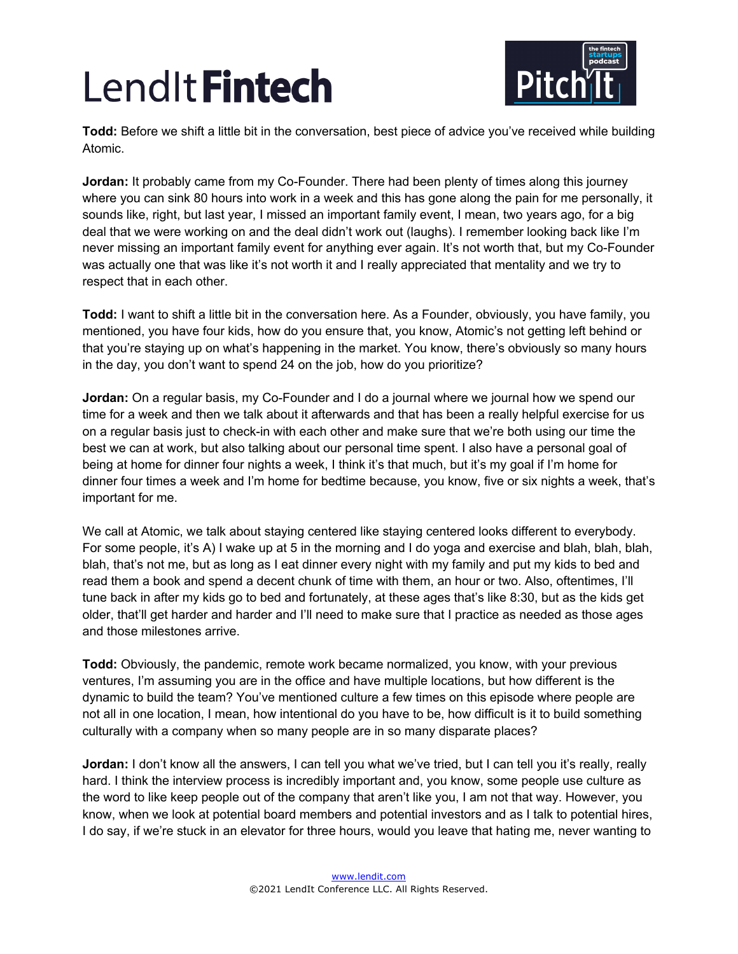

**Todd:** Before we shift a little bit in the conversation, best piece of advice you've received while building Atomic.

**Jordan:** It probably came from my Co-Founder. There had been plenty of times along this journey where you can sink 80 hours into work in a week and this has gone along the pain for me personally, it sounds like, right, but last year, I missed an important family event, I mean, two years ago, for a big deal that we were working on and the deal didn't work out (laughs). I remember looking back like I'm never missing an important family event for anything ever again. It's not worth that, but my Co-Founder was actually one that was like it's not worth it and I really appreciated that mentality and we try to respect that in each other.

**Todd:** I want to shift a little bit in the conversation here. As a Founder, obviously, you have family, you mentioned, you have four kids, how do you ensure that, you know, Atomic's not getting left behind or that you're staying up on what's happening in the market. You know, there's obviously so many hours in the day, you don't want to spend 24 on the job, how do you prioritize?

**Jordan:** On a regular basis, my Co-Founder and I do a journal where we journal how we spend our time for a week and then we talk about it afterwards and that has been a really helpful exercise for us on a regular basis just to check-in with each other and make sure that we're both using our time the best we can at work, but also talking about our personal time spent. I also have a personal goal of being at home for dinner four nights a week, I think it's that much, but it's my goal if I'm home for dinner four times a week and I'm home for bedtime because, you know, five or six nights a week, that's important for me.

We call at Atomic, we talk about staying centered like staying centered looks different to everybody. For some people, it's A) I wake up at 5 in the morning and I do yoga and exercise and blah, blah, blah, blah, that's not me, but as long as I eat dinner every night with my family and put my kids to bed and read them a book and spend a decent chunk of time with them, an hour or two. Also, oftentimes, I'll tune back in after my kids go to bed and fortunately, at these ages that's like 8:30, but as the kids get older, that'll get harder and harder and I'll need to make sure that I practice as needed as those ages and those milestones arrive.

**Todd:** Obviously, the pandemic, remote work became normalized, you know, with your previous ventures, I'm assuming you are in the office and have multiple locations, but how different is the dynamic to build the team? You've mentioned culture a few times on this episode where people are not all in one location, I mean, how intentional do you have to be, how difficult is it to build something culturally with a company when so many people are in so many disparate places?

**Jordan:** I don't know all the answers, I can tell you what we've tried, but I can tell you it's really, really hard. I think the interview process is incredibly important and, you know, some people use culture as the word to like keep people out of the company that aren't like you, I am not that way. However, you know, when we look at potential board members and potential investors and as I talk to potential hires, I do say, if we're stuck in an elevator for three hours, would you leave that hating me, never wanting to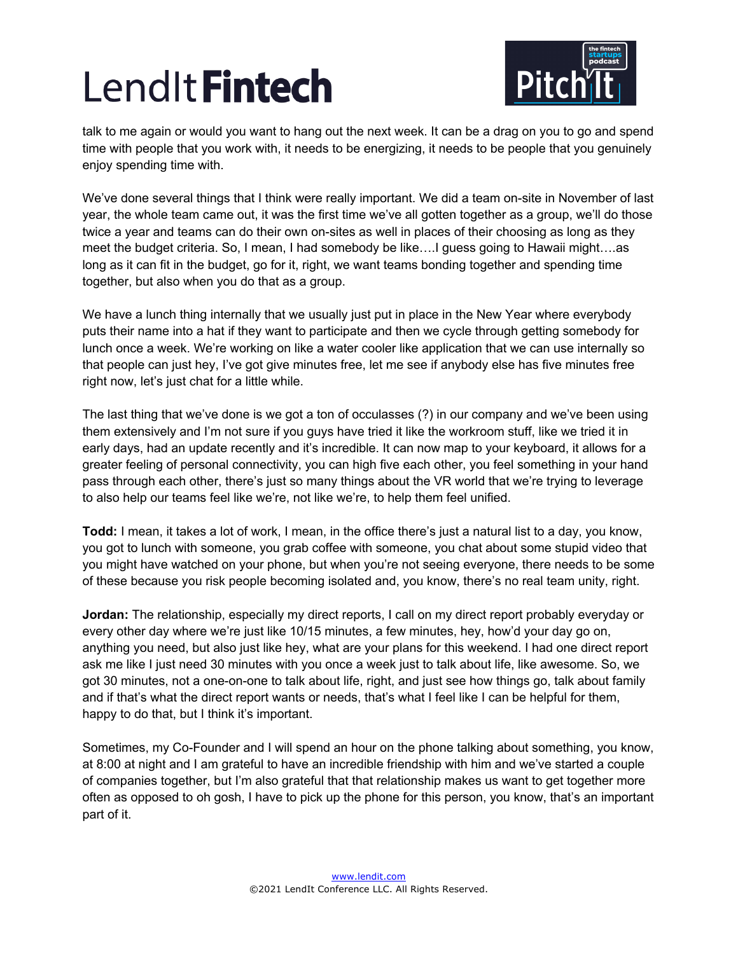

talk to me again or would you want to hang out the next week. It can be a drag on you to go and spend time with people that you work with, it needs to be energizing, it needs to be people that you genuinely enjoy spending time with.

We've done several things that I think were really important. We did a team on-site in November of last year, the whole team came out, it was the first time we've all gotten together as a group, we'll do those twice a year and teams can do their own on-sites as well in places of their choosing as long as they meet the budget criteria. So, I mean, I had somebody be like….I guess going to Hawaii might….as long as it can fit in the budget, go for it, right, we want teams bonding together and spending time together, but also when you do that as a group.

We have a lunch thing internally that we usually just put in place in the New Year where everybody puts their name into a hat if they want to participate and then we cycle through getting somebody for lunch once a week. We're working on like a water cooler like application that we can use internally so that people can just hey, I've got give minutes free, let me see if anybody else has five minutes free right now, let's just chat for a little while.

The last thing that we've done is we got a ton of occulasses (?) in our company and we've been using them extensively and I'm not sure if you guys have tried it like the workroom stuff, like we tried it in early days, had an update recently and it's incredible. It can now map to your keyboard, it allows for a greater feeling of personal connectivity, you can high five each other, you feel something in your hand pass through each other, there's just so many things about the VR world that we're trying to leverage to also help our teams feel like we're, not like we're, to help them feel unified.

**Todd:** I mean, it takes a lot of work, I mean, in the office there's just a natural list to a day, you know, you got to lunch with someone, you grab coffee with someone, you chat about some stupid video that you might have watched on your phone, but when you're not seeing everyone, there needs to be some of these because you risk people becoming isolated and, you know, there's no real team unity, right.

**Jordan:** The relationship, especially my direct reports, I call on my direct report probably everyday or every other day where we're just like 10/15 minutes, a few minutes, hey, how'd your day go on, anything you need, but also just like hey, what are your plans for this weekend. I had one direct report ask me like I just need 30 minutes with you once a week just to talk about life, like awesome. So, we got 30 minutes, not a one-on-one to talk about life, right, and just see how things go, talk about family and if that's what the direct report wants or needs, that's what I feel like I can be helpful for them, happy to do that, but I think it's important.

Sometimes, my Co-Founder and I will spend an hour on the phone talking about something, you know, at 8:00 at night and I am grateful to have an incredible friendship with him and we've started a couple of companies together, but I'm also grateful that that relationship makes us want to get together more often as opposed to oh gosh, I have to pick up the phone for this person, you know, that's an important part of it.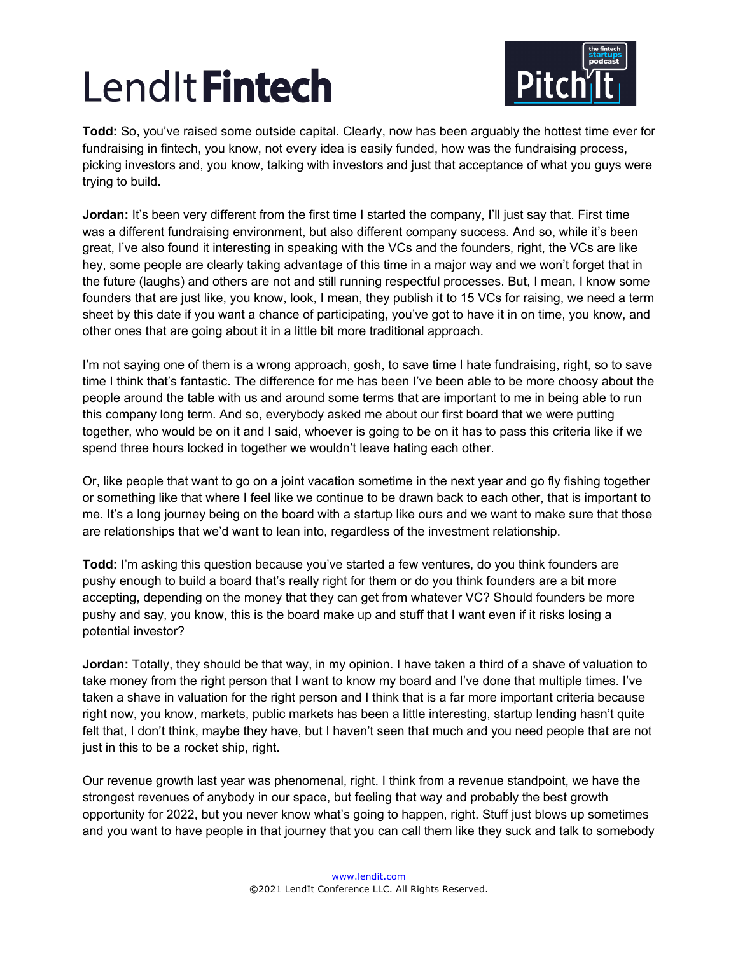

**Todd:** So, you've raised some outside capital. Clearly, now has been arguably the hottest time ever for fundraising in fintech, you know, not every idea is easily funded, how was the fundraising process, picking investors and, you know, talking with investors and just that acceptance of what you guys were trying to build.

**Jordan:** It's been very different from the first time I started the company, I'll just say that. First time was a different fundraising environment, but also different company success. And so, while it's been great, I've also found it interesting in speaking with the VCs and the founders, right, the VCs are like hey, some people are clearly taking advantage of this time in a major way and we won't forget that in the future (laughs) and others are not and still running respectful processes. But, I mean, I know some founders that are just like, you know, look, I mean, they publish it to 15 VCs for raising, we need a term sheet by this date if you want a chance of participating, you've got to have it in on time, you know, and other ones that are going about it in a little bit more traditional approach.

I'm not saying one of them is a wrong approach, gosh, to save time I hate fundraising, right, so to save time I think that's fantastic. The difference for me has been I've been able to be more choosy about the people around the table with us and around some terms that are important to me in being able to run this company long term. And so, everybody asked me about our first board that we were putting together, who would be on it and I said, whoever is going to be on it has to pass this criteria like if we spend three hours locked in together we wouldn't leave hating each other.

Or, like people that want to go on a joint vacation sometime in the next year and go fly fishing together or something like that where I feel like we continue to be drawn back to each other, that is important to me. It's a long journey being on the board with a startup like ours and we want to make sure that those are relationships that we'd want to lean into, regardless of the investment relationship.

**Todd:** I'm asking this question because you've started a few ventures, do you think founders are pushy enough to build a board that's really right for them or do you think founders are a bit more accepting, depending on the money that they can get from whatever VC? Should founders be more pushy and say, you know, this is the board make up and stuff that I want even if it risks losing a potential investor?

**Jordan:** Totally, they should be that way, in my opinion. I have taken a third of a shave of valuation to take money from the right person that I want to know my board and I've done that multiple times. I've taken a shave in valuation for the right person and I think that is a far more important criteria because right now, you know, markets, public markets has been a little interesting, startup lending hasn't quite felt that, I don't think, maybe they have, but I haven't seen that much and you need people that are not just in this to be a rocket ship, right.

Our revenue growth last year was phenomenal, right. I think from a revenue standpoint, we have the strongest revenues of anybody in our space, but feeling that way and probably the best growth opportunity for 2022, but you never know what's going to happen, right. Stuff just blows up sometimes and you want to have people in that journey that you can call them like they suck and talk to somebody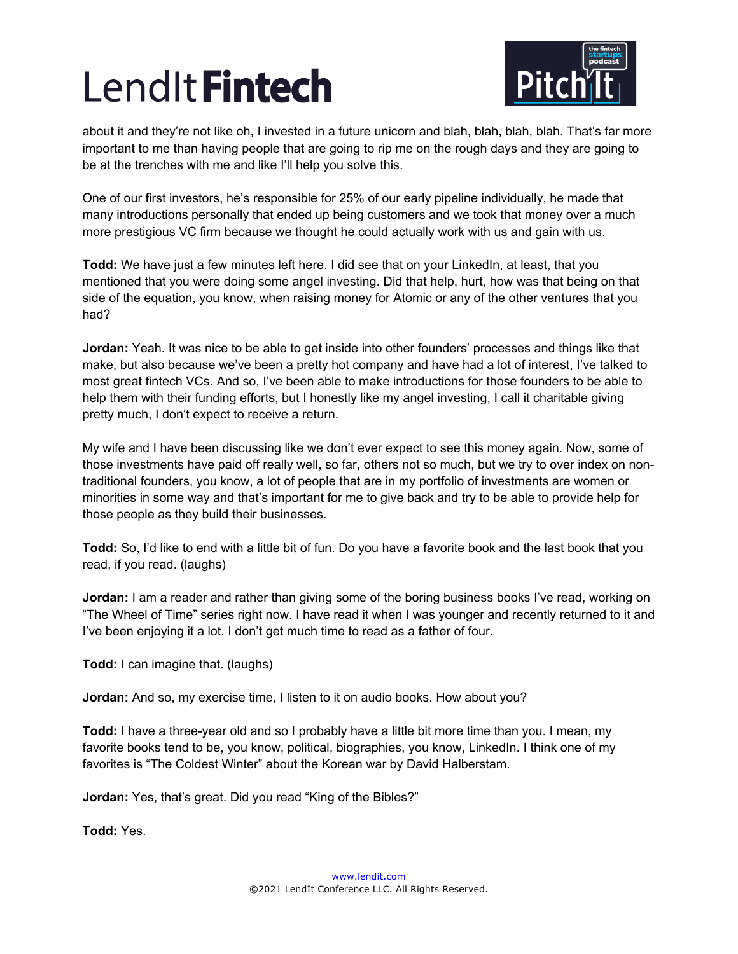

about it and they're not like oh, I invested in a future unicorn and blah, blah, blah, blah. That's far more important to me than having people that are going to rip me on the rough days and they are going to be at the trenches with me and like I'll help you solve this.

One of our first investors, he's responsible for 25% of our early pipeline individually, he made that many introductions personally that ended up being customers and we took that money over a much more prestigious VC firm because we thought he could actually work with us and gain with us.

**Todd:** We have just a few minutes left here. I did see that on your LinkedIn, at least, that you mentioned that you were doing some angel investing. Did that help, hurt, how was that being on that side of the equation, you know, when raising money for Atomic or any of the other ventures that you had?

**Jordan:** Yeah. It was nice to be able to get inside into other founders' processes and things like that make, but also because we've been a pretty hot company and have had a lot of interest, I've talked to most great fintech VCs. And so, I've been able to make introductions for those founders to be able to help them with their funding efforts, but I honestly like my angel investing, I call it charitable giving pretty much, I don't expect to receive a return.

My wife and I have been discussing like we don't ever expect to see this money again. Now, some of those investments have paid off really well, so far, others not so much, but we try to over index on nontraditional founders, you know, a lot of people that are in my portfolio of investments are women or minorities in some way and that's important for me to give back and try to be able to provide help for those people as they build their businesses.

**Todd:** So, I'd like to end with a little bit of fun. Do you have a favorite book and the last book that you read, if you read. (laughs)

**Jordan:** I am a reader and rather than giving some of the boring business books I've read, working on "The Wheel of Time" series right now. I have read it when I was younger and recently returned to it and I've been enjoying it a lot. I don't get much time to read as a father of four.

**Todd:** I can imagine that. (laughs)

**Jordan:** And so, my exercise time, I listen to it on audio books. How about you?

**Todd:** I have a three-year old and so I probably have a little bit more time than you. I mean, my favorite books tend to be, you know, political, biographies, you know, LinkedIn. I think one of my favorites is "The Coldest Winter" about the Korean war by David Halberstam.

**Jordan:** Yes, that's great. Did you read "King of the Bibles?"

**Todd:** Yes.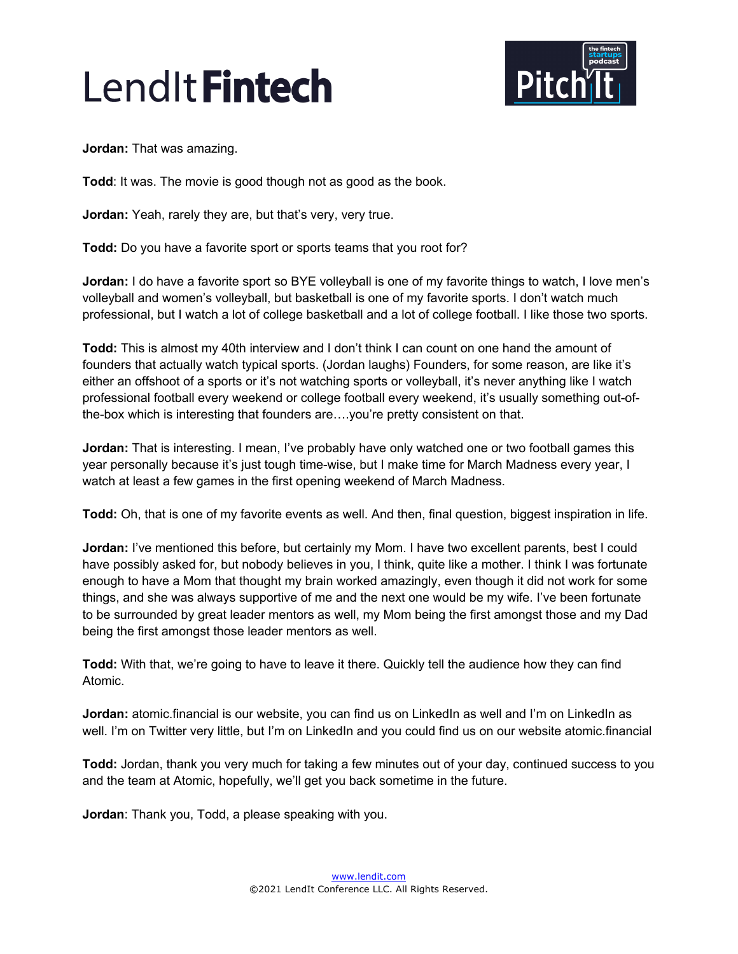

**Jordan:** That was amazing.

**Todd**: It was. The movie is good though not as good as the book.

**Jordan:** Yeah, rarely they are, but that's very, very true.

**Todd:** Do you have a favorite sport or sports teams that you root for?

**Jordan:** I do have a favorite sport so BYE volleyball is one of my favorite things to watch, I love men's volleyball and women's volleyball, but basketball is one of my favorite sports. I don't watch much professional, but I watch a lot of college basketball and a lot of college football. I like those two sports.

**Todd:** This is almost my 40th interview and I don't think I can count on one hand the amount of founders that actually watch typical sports. (Jordan laughs) Founders, for some reason, are like it's either an offshoot of a sports or it's not watching sports or volleyball, it's never anything like I watch professional football every weekend or college football every weekend, it's usually something out-ofthe-box which is interesting that founders are….you're pretty consistent on that.

**Jordan:** That is interesting. I mean, I've probably have only watched one or two football games this year personally because it's just tough time-wise, but I make time for March Madness every year, I watch at least a few games in the first opening weekend of March Madness.

**Todd:** Oh, that is one of my favorite events as well. And then, final question, biggest inspiration in life.

**Jordan:** I've mentioned this before, but certainly my Mom. I have two excellent parents, best I could have possibly asked for, but nobody believes in you, I think, quite like a mother. I think I was fortunate enough to have a Mom that thought my brain worked amazingly, even though it did not work for some things, and she was always supportive of me and the next one would be my wife. I've been fortunate to be surrounded by great leader mentors as well, my Mom being the first amongst those and my Dad being the first amongst those leader mentors as well.

**Todd:** With that, we're going to have to leave it there. Quickly tell the audience how they can find Atomic.

**Jordan:** atomic.financial is our website, you can find us on LinkedIn as well and I'm on LinkedIn as well. I'm on Twitter very little, but I'm on LinkedIn and you could find us on our website atomic.financial

**Todd:** Jordan, thank you very much for taking a few minutes out of your day, continued success to you and the team at Atomic, hopefully, we'll get you back sometime in the future.

**Jordan**: Thank you, Todd, a please speaking with you.